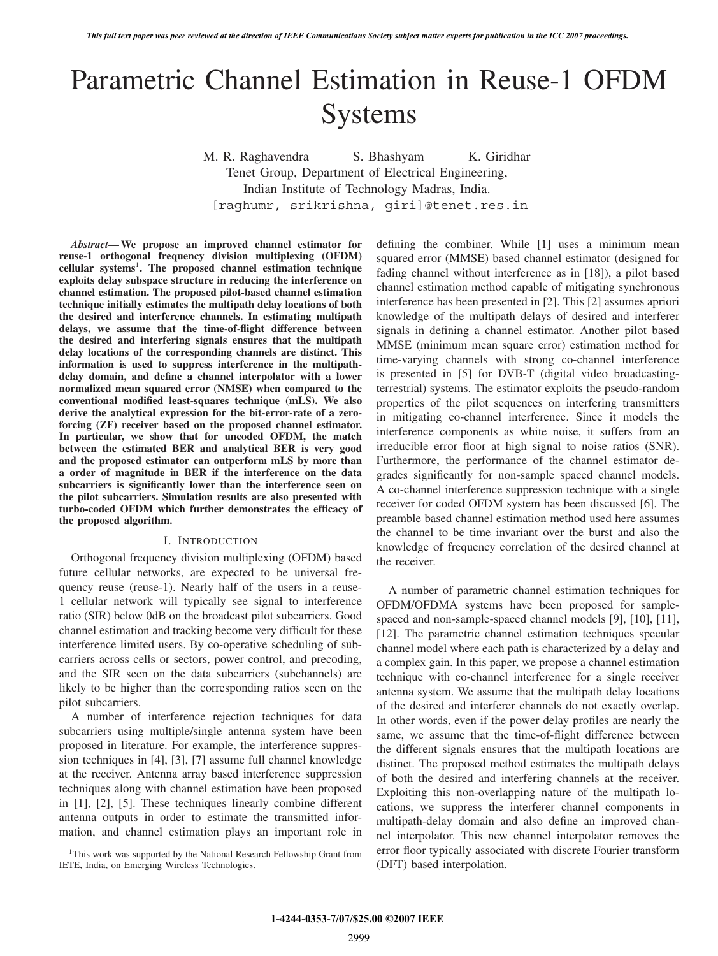# Parametric Channel Estimation in Reuse-1 OFDM Systems

M. R. Raghavendra S. Bhashyam K. Giridhar Tenet Group, Department of Electrical Engineering, Indian Institute of Technology Madras, India. [raghumr, srikrishna, giri]@tenet.res.in

*Abstract***— We propose an improved channel estimator for reuse-1 orthogonal frequency division multiplexing (OFDM) cellular systems**<sup>1</sup> **. The proposed channel estimation technique exploits delay subspace structure in reducing the interference on channel estimation. The proposed pilot-based channel estimation technique initially estimates the multipath delay locations of both the desired and interference channels. In estimating multipath delays, we assume that the time-of-flight difference between the desired and interfering signals ensures that the multipath delay locations of the corresponding channels are distinct. This information is used to suppress interference in the multipathdelay domain, and define a channel interpolator with a lower normalized mean squared error (NMSE) when compared to the conventional modified least-squares technique (mLS). We also derive the analytical expression for the bit-error-rate of a zeroforcing (ZF) receiver based on the proposed channel estimator. In particular, we show that for uncoded OFDM, the match between the estimated BER and analytical BER is very good and the proposed estimator can outperform mLS by more than a order of magnitude in BER if the interference on the data subcarriers is significantly lower than the interference seen on the pilot subcarriers. Simulation results are also presented with turbo-coded OFDM which further demonstrates the efficacy of the proposed algorithm.**

#### I. INTRODUCTION

Orthogonal frequency division multiplexing (OFDM) based future cellular networks, are expected to be universal frequency reuse (reuse-1). Nearly half of the users in a reuse-1 cellular network will typically see signal to interference ratio (SIR) below 0dB on the broadcast pilot subcarriers. Good channel estimation and tracking become very difficult for these interference limited users. By co-operative scheduling of subcarriers across cells or sectors, power control, and precoding, and the SIR seen on the data subcarriers (subchannels) are likely to be higher than the corresponding ratios seen on the pilot subcarriers.

A number of interference rejection techniques for data subcarriers using multiple/single antenna system have been proposed in literature. For example, the interference suppression techniques in [4], [3], [7] assume full channel knowledge at the receiver. Antenna array based interference suppression techniques along with channel estimation have been proposed in [1], [2], [5]. These techniques linearly combine different antenna outputs in order to estimate the transmitted information, and channel estimation plays an important role in

<sup>1</sup>This work was supported by the National Research Fellowship Grant from IETE, India, on Emerging Wireless Technologies.

defining the combiner. While [1] uses a minimum mean squared error (MMSE) based channel estimator (designed for fading channel without interference as in [18]), a pilot based channel estimation method capable of mitigating synchronous interference has been presented in [2]. This [2] assumes apriori knowledge of the multipath delays of desired and interferer signals in defining a channel estimator. Another pilot based MMSE (minimum mean square error) estimation method for time-varying channels with strong co-channel interference is presented in [5] for DVB-T (digital video broadcastingterrestrial) systems. The estimator exploits the pseudo-random properties of the pilot sequences on interfering transmitters in mitigating co-channel interference. Since it models the interference components as white noise, it suffers from an irreducible error floor at high signal to noise ratios (SNR). Furthermore, the performance of the channel estimator degrades significantly for non-sample spaced channel models. A co-channel interference suppression technique with a single receiver for coded OFDM system has been discussed [6]. The preamble based channel estimation method used here assumes the channel to be time invariant over the burst and also the knowledge of frequency correlation of the desired channel at the receiver.

A number of parametric channel estimation techniques for OFDM/OFDMA systems have been proposed for samplespaced and non-sample-spaced channel models [9], [10], [11], [12]. The parametric channel estimation techniques specular channel model where each path is characterized by a delay and a complex gain. In this paper, we propose a channel estimation technique with co-channel interference for a single receiver antenna system. We assume that the multipath delay locations of the desired and interferer channels do not exactly overlap. In other words, even if the power delay profiles are nearly the same, we assume that the time-of-flight difference between the different signals ensures that the multipath locations are distinct. The proposed method estimates the multipath delays of both the desired and interfering channels at the receiver. Exploiting this non-overlapping nature of the multipath locations, we suppress the interferer channel components in multipath-delay domain and also define an improved channel interpolator. This new channel interpolator removes the error floor typically associated with discrete Fourier transform (DFT) based interpolation.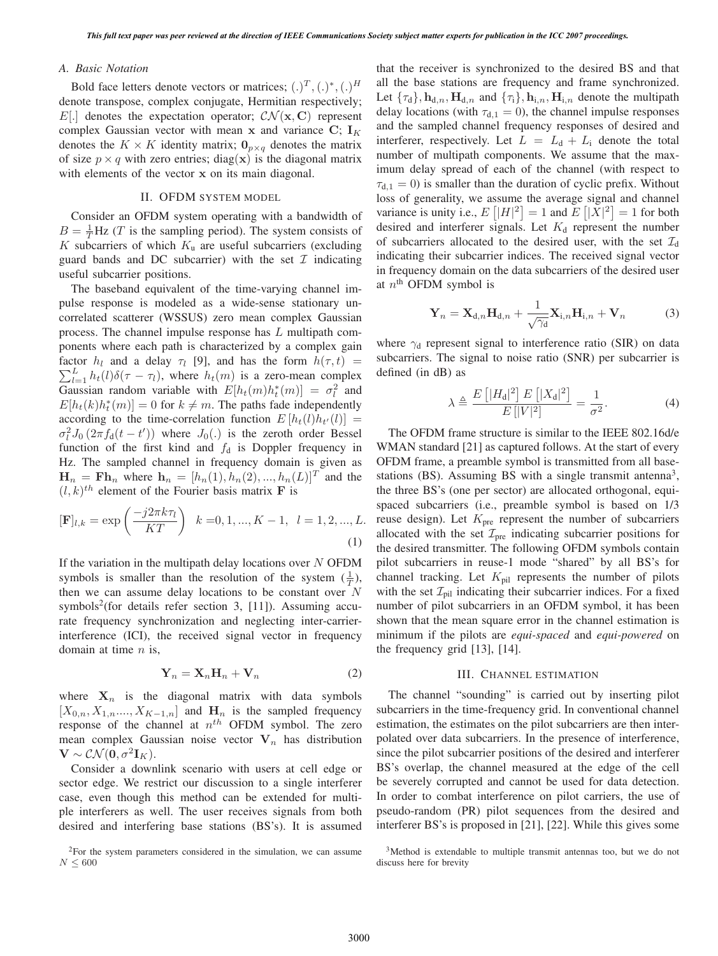## *A. Basic Notation*

Bold face letters denote vectors or matrices;  $(.)^T, (.)^*, (.)^H$ denote transpose, complex conjugate, Hermitian respectively; E[.] denotes the expectation operator;  $\mathcal{CN}(\mathbf{x}, \mathbf{C})$  represent complex Gaussian vector with mean **x** and variance  $C$ ;  $I_K$ denotes the  $K \times K$  identity matrix;  $\mathbf{0}_{p \times q}$  denotes the matrix of size  $p \times q$  with zero entries; diag(**x**) is the diagonal matrix with elements of the vector **x** on its main diagonal.

# II. OFDM SYSTEM MODEL

Consider an OFDM system operating with a bandwidth of  $B = \frac{1}{T} Hz$  (*T* is the sampling period). The system consists of *K* subcarriers of which *K* are useful subcarriers (excluding K subcarriers of which  $K<sub>u</sub>$  are useful subcarriers (excluding guard bands and DC subcarrier) with the set  $\mathcal I$  indicating useful subcarrier positions.

The baseband equivalent of the time-varying channel impulse response is modeled as a wide-sense stationary uncorrelated scatterer (WSSUS) zero mean complex Gaussian process. The channel impulse response has L multipath components where each path is characterized by a complex gain factor  $h_l$  and a delay  $\tau_l$  [9], and has the form  $h(\tau, t) = \nabla^L h_l(l) \delta(\tau - \tau)$ , where  $h_l(m)$  is a zero mean complex  $\sum_{l=1}^{L} h_t(l) \delta(\tau - \tau_l)$ , where  $h_t(m)$  is a zero-mean complex<br>Gaussian random variable with  $F[h_1(m)h^*(m)] = \tau^2$  and Gaussian random variable with  $E[h_t(m)h_t^*(m)] = \sigma_t^2$  and  $E[h_t(h)h^*(m)] = 0$  for  $k \neq m$ . The paths fade independently  $E[h_t(k)h_t^*(m)] = 0$  for  $k \neq m$ . The paths fade independently<br>according to the time-correlation function  $E[h_t(l)h_{tt}(l)] =$ according to the time-correlation function  $E[h_t(l)h_{t'}(l)] =$  $\sigma_t^2 J_0(2\pi f_d(t-t'))$  where  $J_0(.)$  is the zeroth order Bessel<br>function of the first kind and f, is Doppler frequency in function of the first kind and  $f_d$  is Doppler frequency in Hz. The sampled channel in frequency domain is given as  $\mathbf{H}_n = \mathbf{F}\mathbf{h}_n$  where  $\mathbf{h}_n = [h_n(1), h_n(2), ..., h_n(L)]^T$  and the  $(l, k)^{th}$  element of the Fourier basis matrix **F** is

$$
[\mathbf{F}]_{l,k} = \exp\left(\frac{-j2\pi k\tau_l}{KT}\right) \quad k = 0, 1, ..., K - 1, \quad l = 1, 2, ..., L.
$$
\n(1)

If the variation in the multipath delay locations over  $N$  OFDM symbols is smaller than the resolution of the system  $(\frac{1}{T})$ , then we can assume delay locations to be constant over  $N$ symbols<sup>2</sup>(for details refer section 3, [11]). Assuming accurate frequency synchronization and neglecting inter-carrierinterference (ICI), the received signal vector in frequency domain at time  $n$  is,

$$
\mathbf{Y}_n = \mathbf{X}_n \mathbf{H}_n + \mathbf{V}_n \tag{2}
$$

where  $X_n$  is the diagonal matrix with data symbols  $[X_{0,n}, X_{1,n},..., X_{K-1,n}]$  and  $\mathbf{H}_n$  is the sampled frequency response of the channel at  $n^{th}$  OFDM symbol. The zero mean complex Gaussian noise vector  $V_n$  has distribution  $\mathbf{V} \sim \mathcal{CN}(\mathbf{0}, \sigma^2 \mathbf{I}_K).$ 

Consider a downlink scenario with users at cell edge or sector edge. We restrict our discussion to a single interferer case, even though this method can be extended for multiple interferers as well. The user receives signals from both desired and interfering base stations (BS's). It is assumed that the receiver is synchronized to the desired BS and that all the base stations are frequency and frame synchronized. Let  ${\tau_d}$ ,  ${\bf h}_{d,n}$ ,  ${\bf H}_{d,n}$  and  ${\tau_i}$ ,  ${\bf h}_{i,n}$ ,  ${\bf H}_{i,n}$  denote the multipath delay locations (with  $\tau_{d,1} = 0$ ), the channel impulse responses and the sampled channel frequency responses of desired and interferer, respectively. Let  $L = L_d + L_i$  denote the total number of multipath components. We assume that the maximum delay spread of each of the channel (with respect to  $\tau_{d,1} = 0$ ) is smaller than the duration of cyclic prefix. Without loss of generality, we assume the average signal and channel variance is unity i.e.,  $E[|H|^2] = 1$  and  $E[|X|^2] = 1$  for both desired and interferer signals. Let K, represent the number desired and interferer signals. Let  $K_d$  represent the number of subcarriers allocated to the desired user, with the set  $\mathcal{I}_d$ indicating their subcarrier indices. The received signal vector in frequency domain on the data subcarriers of the desired user at  $n^{\text{th}}$  OFDM symbol is

$$
\mathbf{Y}_n = \mathbf{X}_{d,n} \mathbf{H}_{d,n} + \frac{1}{\sqrt{\gamma_d}} \mathbf{X}_{i,n} \mathbf{H}_{i,n} + \mathbf{V}_n \tag{3}
$$

where  $\gamma_d$  represent signal to interference ratio (SIR) on data subcarriers. The signal to noise ratio (SNR) per subcarrier is defined (in dB) as

$$
\lambda \triangleq \frac{E\left[|H_{\rm d}|^2\right]E\left[|X_{\rm d}|^2\right]}{E\left[|V|^2\right]} = \frac{1}{\sigma^2}.\tag{4}
$$

The OFDM frame structure is similar to the IEEE 802.16d/e WMAN standard [21] as captured follows. At the start of every OFDM frame, a preamble symbol is transmitted from all basestations (BS). Assuming BS with a single transmit antenna<sup>3</sup>, the three BS's (one per sector) are allocated orthogonal, equispaced subcarriers (i.e., preamble symbol is based on 1/3 reuse design). Let  $K<sub>pre</sub>$  represent the number of subcarriers allocated with the set  $\mathcal{I}_{\text{pre}}$  indicating subcarrier positions for the desired transmitter. The following OFDM symbols contain pilot subcarriers in reuse-1 mode "shared" by all BS's for channel tracking. Let  $K_{\text{pil}}$  represents the number of pilots with the set  $\mathcal{I}_{\text{pil}}$  indicating their subcarrier indices. For a fixed number of pilot subcarriers in an OFDM symbol, it has been shown that the mean square error in the channel estimation is minimum if the pilots are *equi-spaced* and *equi-powered* on the frequency grid [13], [14].

## III. CHANNEL ESTIMATION

The channel "sounding" is carried out by inserting pilot subcarriers in the time-frequency grid. In conventional channel estimation, the estimates on the pilot subcarriers are then interpolated over data subcarriers. In the presence of interference, since the pilot subcarrier positions of the desired and interferer BS's overlap, the channel measured at the edge of the cell be severely corrupted and cannot be used for data detection. In order to combat interference on pilot carriers, the use of pseudo-random (PR) pilot sequences from the desired and interferer BS's is proposed in [21], [22]. While this gives some

<sup>2</sup>For the system parameters considered in the simulation, we can assume  $N \leq 600$ 

<sup>&</sup>lt;sup>3</sup>Method is extendable to multiple transmit antennas too, but we do not discuss here for brevity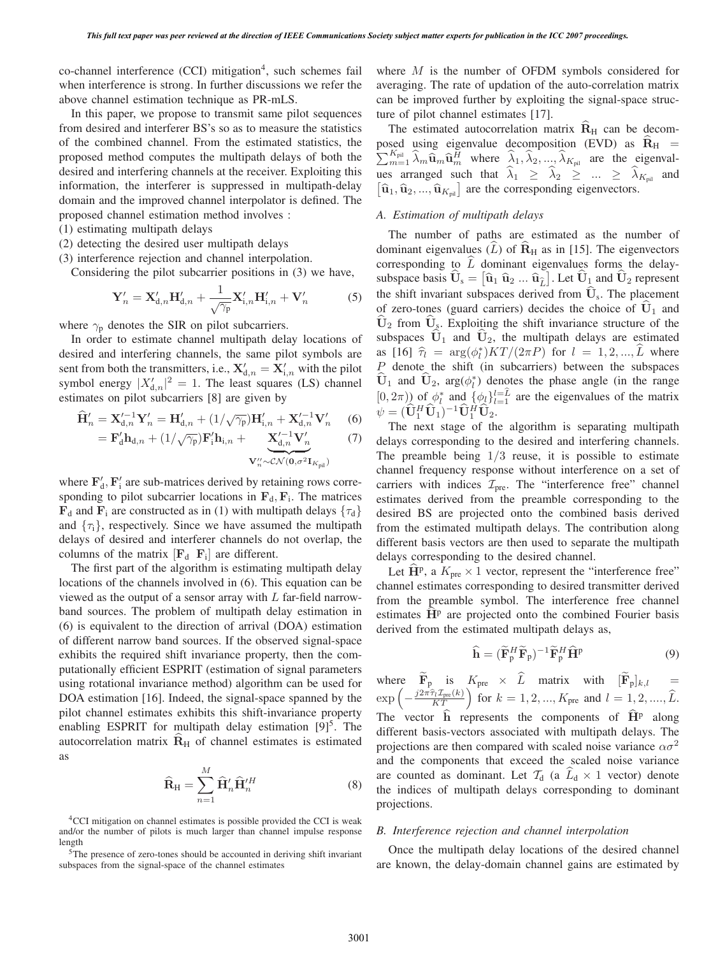$co-channel$  interference  $(CCI)$  mitigation<sup>4</sup>, such schemes fail when interference is strong. In further discussions we refer the above channel estimation technique as PR-mLS.

In this paper, we propose to transmit same pilot sequences from desired and interferer BS's so as to measure the statistics of the combined channel. From the estimated statistics, the proposed method computes the multipath delays of both the desired and interfering channels at the receiver. Exploiting this information, the interferer is suppressed in multipath-delay domain and the improved channel interpolator is defined. The proposed channel estimation method involves :

- (1) estimating multipath delays
- (2) detecting the desired user multipath delays
- (3) interference rejection and channel interpolation.

Considering the pilot subcarrier positions in (3) we have,

$$
\mathbf{Y}'_n = \mathbf{X}'_{d,n} \mathbf{H}'_{d,n} + \frac{1}{\sqrt{\gamma_p}} \mathbf{X}'_{i,n} \mathbf{H}'_{i,n} + \mathbf{V}'_n \tag{5}
$$

where  $\gamma_{p}$  denotes the SIR on pilot subcarriers.

In order to estimate channel multipath delay locations of desired and interfering channels, the same pilot symbols are sent from both the transmitters, i.e.,  $\mathbf{X}_{d,n}^{\prime} = \mathbf{X}_{i,n}^{\prime}$  with the pilot<br>symbol energy  $|X^{\prime}|^2 = 1$ . The least squares (**J** S) channel symbol energy  $|X_{d,n}'|^2 = 1$ . The least squares (LS) channel estimates on pilot subcarriers [8] are given by

$$
\widehat{\mathbf{H}}'_{n} = \mathbf{X}'^{-1}_{d,n} \mathbf{Y}'_{n} = \mathbf{H}'_{d,n} + (1/\sqrt{\gamma_{p}}) \mathbf{H}'_{i,n} + \mathbf{X}'^{-1}_{d,n} \mathbf{V}'_{n}
$$
 (6)

$$
= \mathbf{F}_{d}' \mathbf{h}_{d,n} + (1/\sqrt{\gamma_{p}}) \mathbf{F}_{i}' \mathbf{h}_{i,n} + \underbrace{\mathbf{X}_{d,n}'^{-1} \mathbf{V}_{n}'}_{\mathbf{V}_{n}'' \sim \mathcal{CN}(\mathbf{0}, \sigma^{2} \mathbf{I}_{K_{\text{pil}}})}
$$
(7)

where  $\mathbf{F}'_d$ ,  $\mathbf{F}'_i$  are sub-matrices derived by retaining rows corresponding to pilot subcarrier locations in  $\mathbf{F}_d$ ,  $\mathbf{F}_i$ . The matrices  $\mathbf{F}_{d}$  and  $\mathbf{F}_{i}$  are constructed as in (1) with multipath delays  $\{\tau_{d}\}$ and  $\{\tau_i\}$ , respectively. Since we have assumed the multipath delays of desired and interferer channels do not overlap, the columns of the matrix  $[\mathbf{F}_d \ \mathbf{F}_i]$  are different.

The first part of the algorithm is estimating multipath delay locations of the channels involved in (6). This equation can be viewed as the output of a sensor array with  $L$  far-field narrowband sources. The problem of multipath delay estimation in (6) is equivalent to the direction of arrival (DOA) estimation of different narrow band sources. If the observed signal-space exhibits the required shift invariance property, then the computationally efficient ESPRIT (estimation of signal parameters using rotational invariance method) algorithm can be used for DOA estimation [16]. Indeed, the signal-space spanned by the pilot channel estimates exhibits this shift-invariance property enabling ESPRIT for multipath delay estimation  $[9]^5$ . The autocorrelation matrix  $R$ <sup>H</sup> of channel estimates is estimated as

$$
\widehat{\mathbf{R}}_{\mathrm{H}} = \sum_{n=1}^{M} \widehat{\mathbf{H}}_{n}^{\prime} \widehat{\mathbf{H}}_{n}^{\prime H}
$$
\n(8)

<sup>4</sup>CCI mitigation on channel estimates is possible provided the CCI is weak and/or the number of pilots is much larger than channel impulse response length

<sup>5</sup>The presence of zero-tones should be accounted in deriving shift invariant subspaces from the signal-space of the channel estimates

where M is the number of OFDM symbols considered for averaging. The rate of updation of the auto-correlation matrix can be improved further by exploiting the signal-space structure of pilot channel estimates [17].

The estimated autocorrelation matrix  $R<sub>H</sub>$  can be decomposed using eigenvalue decomposition (EVD) as  $\mathbf{R}_{\text{H}} = \sum_{m=1}^{K_{\text{pil}}} \hat{\lambda}_m \hat{\mathbf{u}}_m \hat{\mathbf{u}}_m^H$  where  $\hat{\lambda}_1, \hat{\lambda}_2, ..., \hat{\lambda}_{K_{\text{pil}}}$  are the eigenvalues arranged such that  $\hat{\lambda}_1 \geq \hat{\lambda}_2 \geq ... \geq \hat{\lambda}_{K_{\text{nil}}}$  and  $[\hat{\mathbf{u}}_1, \hat{\mathbf{u}}_2, ..., \hat{\mathbf{u}}_{K_{\text{pil}}}]$  are the corresponding eigenvectors.

## *A. Estimation of multipath delays*

The number of paths are estimated as the number of dominant eigenvalues  $(L)$  of  $\mathbf{R}_{\rm H}$  as in [15]. The eigenvectors corresponding to  $L$  dominant eigenvalues forms the delaysubspace basis  $\hat{\mathbf{U}}_s = [\hat{\mathbf{u}}_1 \ \hat{\mathbf{u}}_2 \ ... \ \hat{\mathbf{u}}_L^2]$ . Let  $\hat{\mathbf{U}}_1$  and  $\hat{\mathbf{U}}_2$  represent the shift invariant subspaces derived from  $\widehat{U}_s$ . The placement of zero-tones (guard carriers) decides the choice of  $\mathbf{U}_1$  and  $\mathbf{U}_2$  from  $\mathbf{U}_s$ . Exploiting the shift invariance structure of the subspaces  $\hat{\mathbf{U}}_1$  and  $\hat{\mathbf{U}}_2$ , the multipath delays are estimated as  $[16]$   $\hat{\tau}_l = \arg(\phi_l^*) KT/(2\pi P)$  for  $l = 1, 2, ..., L$  where  $P$  denote the shift (in subcarriers) between the subspaces P denote the shift (in subcarriers) between the subspaces  $U_1$  and  $U_2$ ,  $\arg(\phi_i^*)$  denotes the phase angle (in the range  $[0, 2\pi)$  of  $\phi_l^*$  and  $\{\phi_l\}_{l=1}^{l=L}$  are the eigenvalues of the matrix  $\phi_l = (\hat{\mathbf{H}} H \hat{\mathbf{H}}_l) - 1 \hat{\mathbf{H}} H \hat{\mathbf{H}}_l$  $\psi = (\hat{\mathbf{U}}_1^H \hat{\mathbf{U}}_1)^{-1} \hat{\mathbf{U}}_1^H \hat{\mathbf{U}}_2.$ <br>The next stage of the

The next stage of the algorithm is separating multipath delays corresponding to the desired and interfering channels. The preamble being  $1/3$  reuse, it is possible to estimate channel frequency response without interference on a set of carriers with indices  $\mathcal{I}_{pre}$ . The "interference free" channel estimates derived from the preamble corresponding to the desired BS are projected onto the combined basis derived from the estimated multipath delays. The contribution along different basis vectors are then used to separate the multipath delays corresponding to the desired channel.

Let  $\hat{H}^p$ , a  $K_{pre} \times 1$  vector, represent the "interference free" channel estimates corresponding to desired transmitter derived from the preamble symbol. The interference free channel estimates  $\mathbf{H}^{\text{p}}$  are projected onto the combined Fourier basis derived from the estimated multipath delays as,

$$
\widehat{\mathbf{h}} = (\widetilde{\mathbf{F}}_p^H \widetilde{\mathbf{F}}_p)^{-1} \widetilde{\mathbf{F}}_p^H \widehat{\mathbf{H}}^p
$$
\n(9)

where  $\mathbf{F}_{\text{p}}$  is  $K_{\text{pre}} \times L$  matrix with  $[\mathbf{F}_{\text{p}}]_{k,l} =$ <br> $(2\pi\hat{\tau}_l \mathcal{I}_{\text{pre}}(k))$  $\exp\left(-\frac{j2\pi\hat{\tau}_l\mathcal{I}_{pre}(k)}{KT}\right)$  for  $k = 1, 2, ..., K_{pre}$  and  $l = 1, 2, ..., \hat{L}$ . The vector  $\hat{h}$  represents the components of  $\hat{H}^p$  along different basis-vectors associated with multipath delays. The projections are then compared with scaled noise variance  $\alpha \sigma^2$ and the components that exceed the scaled noise variance are counted as dominant. Let  $\mathcal{T}_d$  (a  $\mathcal{L}_d \times 1$  vector) denote the indices of multipath delays corresponding to dominant projections.

### *B. Interference rejection and channel interpolation*

Once the multipath delay locations of the desired channel are known, the delay-domain channel gains are estimated by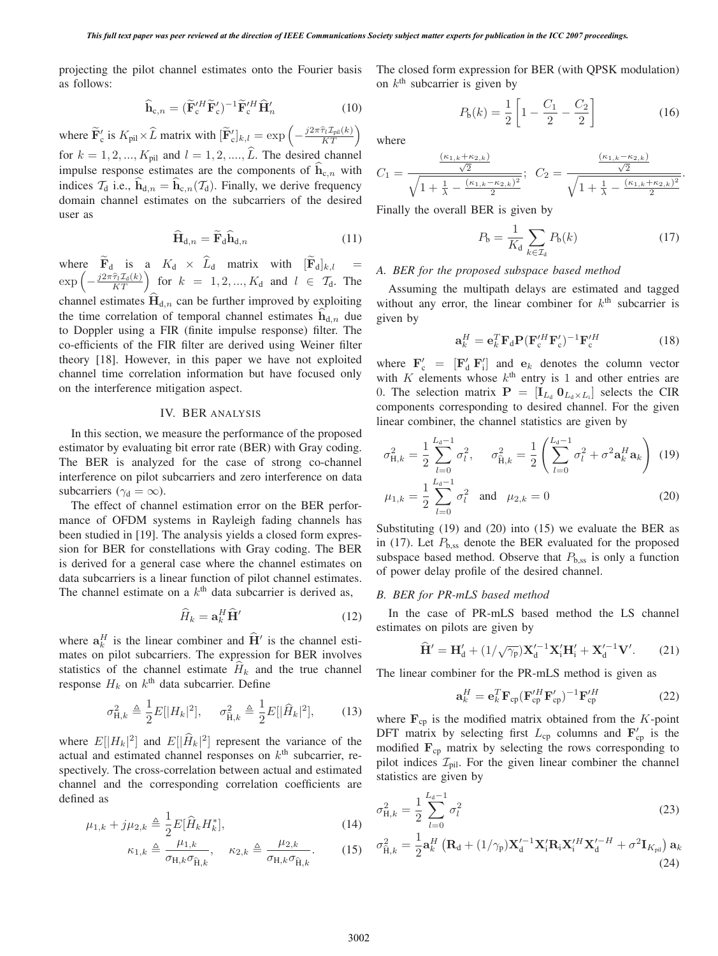projecting the pilot channel estimates onto the Fourier basis as follows:

$$
\widehat{\mathbf{h}}_{c,n} = (\widetilde{\mathbf{F}}_c^{\prime H} \widetilde{\mathbf{F}}_c^{\prime})^{-1} \widetilde{\mathbf{F}}_c^{\prime H} \widehat{\mathbf{H}}_n^{\prime}
$$
\n(10)

where  $\mathbf{F}_c'$  is  $K_{\text{pil}} \times L$  matrix with  $[\mathbf{F}_c']$  $\zeta_{\mathbf{k},l}^{\prime} = \exp \left( -\frac{j2\pi \hat{\tau}_l \mathcal{I}_{\text{pil}}(k)}{KT} \right)$ for  $k = 1, 2, ..., K_{pil}$  and  $l = 1, 2, ..., \hat{L}$ . The desired channel impulse response estimates are the components of  $h_{c,n}$  with indices  $\mathcal{T}_d$  i.e.,  $\mathbf{h}_{d,n} = \mathbf{h}_{c,n}(\mathcal{T}_d)$ . Finally, we derive frequency domain channel estimates on the subcarriers of the desired user as

$$
\widehat{\mathbf{H}}_{d,n} = \widetilde{\mathbf{F}}_{d} \widehat{\mathbf{h}}_{d,n} \tag{11}
$$

where  $\tilde{\mathbf{F}}_d$  is a  $K_d \times \hat{\mathbf{L}}_d$  matrix with  $[\tilde{\mathbf{F}}_d]_{k,l}$  $\exp\left(-\frac{j2\pi\hat{\tau}_l\mathcal{I}_d(k)}{KT}\right)$  for  $k = 1, 2, ..., K_d$  and  $l \in \mathcal{T}_d$ . The channel estimates  $H_{d,n}$  can be further improved by exploiting the time correlation of temporal channel estimates  $h_{d,n}$  due to Doppler using a FIR (finite impulse response) filter. The co-efficients of the FIR filter are derived using Weiner filter theory [18]. However, in this paper we have not exploited channel time correlation information but have focused only on the interference mitigation aspect.

### IV. BER ANALYSIS

In this section, we measure the performance of the proposed estimator by evaluating bit error rate (BER) with Gray coding. The BER is analyzed for the case of strong co-channel interference on pilot subcarriers and zero interference on data subcarriers ( $\gamma_d = \infty$ ).

The effect of channel estimation error on the BER performance of OFDM systems in Rayleigh fading channels has been studied in [19]. The analysis yields a closed form expression for BER for constellations with Gray coding. The BER is derived for a general case where the channel estimates on data subcarriers is a linear function of pilot channel estimates. The channel estimate on a  $k<sup>th</sup>$  data subcarrier is derived as,

$$
\widehat{H}_k = \mathbf{a}_k^H \widehat{\mathbf{H}}' \tag{12}
$$

where  $a_k^H$  is the linear combiner and  $\hat{H}'$  is the channel estimates on pilot subcarriers. The expression for BER involves statistics of the channel estimate  $\hat{H}_k$  and the true channel response  $H_k$  on  $k^{\text{th}}$  data subcarrier. Define

$$
\sigma_{\mathrm{H},k}^{2} \triangleq \frac{1}{2} E[|H_{k}|^{2}], \quad \sigma_{\hat{\mathrm{H}},k}^{2} \triangleq \frac{1}{2} E[|\hat{H}_{k}|^{2}], \quad (13)
$$

where  $E[|H_k|^2]$  and  $E[|\hat{H}_k|^2]$  represent the variance of the setual and estimated channel responses on  $k^{\text{th}}$  subcarrier reactual and estimated channel responses on  $k<sup>th</sup>$  subcarrier, respectively. The cross-correlation between actual and estimated channel and the corresponding correlation coefficients are defined as

$$
\mu_{1,k} + j\mu_{2,k} \triangleq \frac{1}{2} E[\hat{H}_k H_k^*],\tag{14}
$$

$$
\kappa_{1,k} \triangleq \frac{\mu_{1,k}}{\sigma_{\mathcal{H},k}\sigma_{\hat{\mathcal{H}},k}}, \quad \kappa_{2,k} \triangleq \frac{\mu_{2,k}}{\sigma_{\mathcal{H},k}\sigma_{\hat{\mathcal{H}},k}}.
$$
 (15)

The closed form expression for BER (with QPSK modulation) on  $k<sup>th</sup>$  subcarrier is given by

$$
P_{b}(k) = \frac{1}{2} \left[ 1 - \frac{C_1}{2} - \frac{C_2}{2} \right]
$$
 (16)

where

$$
C_1 = \frac{\frac{(\kappa_{1,k} + \kappa_{2,k})}{\sqrt{2}}}{\sqrt{1 + \frac{1}{\lambda} - \frac{(\kappa_{1,k} - \kappa_{2,k})^2}{2}}}; \ \ C_2 = \frac{\frac{(\kappa_{1,k} - \kappa_{2,k})}{\sqrt{2}}}{\sqrt{1 + \frac{1}{\lambda} - \frac{(\kappa_{1,k} + \kappa_{2,k})^2}{2}}}
$$

Finally the overall BER is given by

$$
P_{\mathbf{b}} = \frac{1}{K_{\mathbf{d}}} \sum_{k \in \mathcal{I}_{\mathbf{d}}} P_{\mathbf{b}}(k) \tag{17}
$$

.

## *A. BER for the proposed subspace based method*

Assuming the multipath delays are estimated and tagged without any error, the linear combiner for  $k<sup>th</sup>$  subcarrier is given by

$$
\mathbf{a}_k^H = \mathbf{e}_k^T \mathbf{F}_d \mathbf{P} (\mathbf{F}_c^{\prime H} \mathbf{F}_c^{\prime})^{-1} \mathbf{F}_c^{\prime H}
$$
 (18)

where  $\mathbf{F}'_c = [\mathbf{F}'_d \ \mathbf{F}'_i]$  and  $\mathbf{e}_k$  denotes the column vector<br>with K elements whose  $k^{\text{th}}$  entry is 1 and other entries are with  $K$  elements whose  $k^{\text{th}}$  entry is 1 and other entries are 0. The selection matrix  $\mathbf{P} = [\mathbf{I}_{L_d} \mathbf{0}_{L_d \times L_i}]$  selects the CIR components corresponding to desired channel. For the given components corresponding to desired channel. For the given linear combiner, the channel statistics are given by

$$
\sigma_{\mathrm{H},k}^{2} = \frac{1}{2} \sum_{l=0}^{L_{\mathrm{d}}-1} \sigma_{l}^{2}, \quad \sigma_{\mathrm{\tilde{H}},k}^{2} = \frac{1}{2} \left( \sum_{l=0}^{L_{\mathrm{d}}-1} \sigma_{l}^{2} + \sigma^{2} \mathbf{a}_{k}^{H} \mathbf{a}_{k} \right)
$$
(19)

$$
\mu_{1,k} = \frac{1}{2} \sum_{l=0}^{L_d - 1} \sigma_l^2 \quad \text{and} \quad \mu_{2,k} = 0 \tag{20}
$$

Substituting (19) and (20) into (15) we evaluate the BER as in (17). Let  $P_{b,ss}$  denote the BER evaluated for the proposed subspace based method. Observe that  $P_{b,ss}$  is only a function of power delay profile of the desired channel.

#### *B. BER for PR-mLS based method*

In the case of PR-mLS based method the LS channel estimates on pilots are given by

$$
\widehat{\mathbf{H}}' = \mathbf{H}'_d + (1/\sqrt{\gamma_p})\mathbf{X}'^{-1}_d \mathbf{X}'_i \mathbf{H}'_i + \mathbf{X}'^{-1}_d \mathbf{V}'. \tag{21}
$$

The linear combiner for the PR-mLS method is given as

$$
\mathbf{a}_k^H = \mathbf{e}_k^T \mathbf{F}_{\rm cp} (\mathbf{F}_{\rm cp}^{\prime H} \mathbf{F}_{\rm cp}^{\prime})^{-1} \mathbf{F}_{\rm cp}^{\prime H}
$$
 (22)

where  $\mathbf{F}_{cp}$  is the modified matrix obtained from the K-point DFT matrix by selecting first  $L_{cp}$  columns and  $\mathbf{F}'_{cp}$  is the modified  $\mathbf{F}_{cp}$  matrix by selecting the rows corresponding to pilot indices  $\mathcal{I}_{\text{pil}}$ . For the given linear combiner the channel statistics are given by

$$
\sigma_{\mathrm{H},k}^2 = \frac{1}{2} \sum_{l=0}^{L_d - 1} \sigma_l^2 \tag{23}
$$

$$
\sigma_{\hat{\mathbf{H}},k}^2 = \frac{1}{2} \mathbf{a}_k^H \left( \mathbf{R}_d + (1/\gamma_p) \mathbf{X}_d'^{-1} \mathbf{X}_i' \mathbf{R}_i \mathbf{X}_i'^H \mathbf{X}_d'^{-H} + \sigma^2 \mathbf{I}_{K_{\text{pil}}} \right) \mathbf{a}_k
$$
\n(24)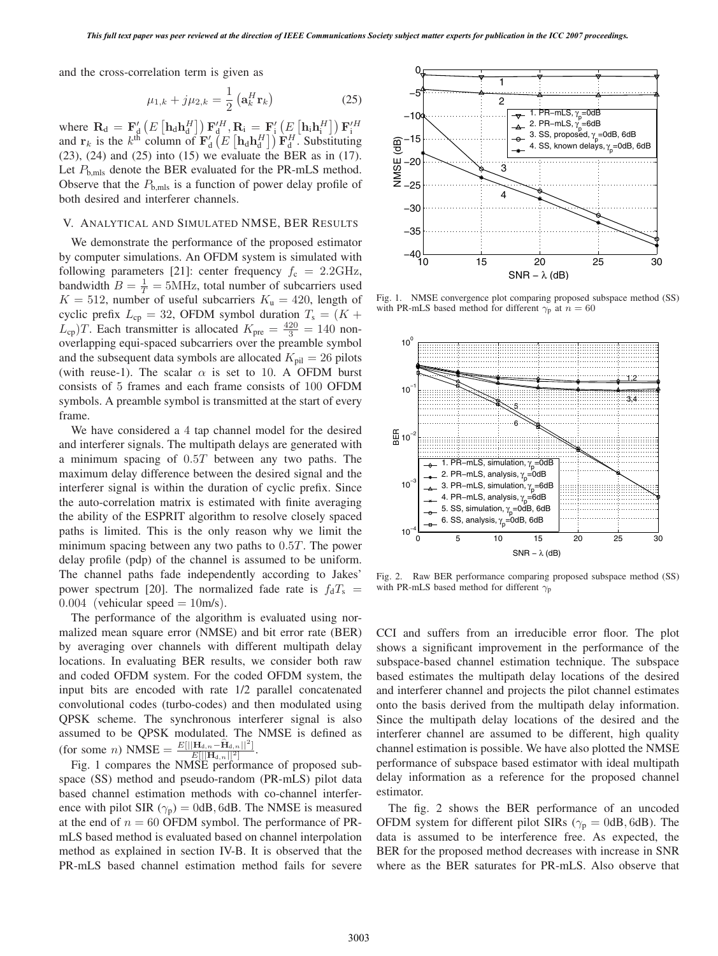and the cross-correlation term is given as

$$
\mu_{1,k} + j\mu_{2,k} = \frac{1}{2} \left( \mathbf{a}_k^H \mathbf{r}_k \right) \tag{25}
$$

where  $\mathbf{R}_{d} = \mathbf{F}'_d \left( E\left[ \mathbf{h}_d \mathbf{h}_d^H \right] \right) \mathbf{F}'_d^H$ ,  $\mathbf{R}_i = \mathbf{F}'_i \left( E\left[ \mathbf{h}_i \mathbf{h}_i^H \right] \right) \mathbf{F}'_i^H$ <br>and  $\mathbf{r}_k$  is the  $k^{\text{th}}$  column of  $\mathbf{F}'_d \left( E\left[ \mathbf{h}_d \mathbf{h}_d^H \right] \right) \mathbf{F}^H_d$ . Substi  $(23)$ ,  $(24)$  and  $(25)$  into  $(15)$  we evaluate the BER as in  $(17)$ . Let  $P_{\text{b,}mls}$  denote the BER evaluated for the PR-mLS method. Observe that the  $P_{\text{b,mls}}$  is a function of power delay profile of both desired and interferer channels.

# V. ANALYTICAL AND SIMULATED NMSE, BER RESULTS

We demonstrate the performance of the proposed estimator by computer simulations. An OFDM system is simulated with following parameters [21]: center frequency  $f_c = 2.2 \text{GHz}$ , bandwidth  $B = \frac{1}{T} = 5$ MHz, total number of subcarriers used  $K = 512$ , number of useful subcarriers  $K = 420$ , length of  $K = 512$ , number of useful subcarriers  $K<sub>u</sub> = 420$ , length of cyclic prefix  $L_{cp} = 32$ , OFDM symbol duration  $T_s = (K +$  $L_{cp}$ )T. Each transmitter is allocated  $K_{\text{pre}} = \frac{420}{3} = 140$  non-<br>overlapping equi-spaced subcarriers over the preamble symbol overlapping equi-spaced subcarriers over the preamble symbol and the subsequent data symbols are allocated  $K_{\text{pil}} = 26$  pilots (with reuse-1). The scalar  $\alpha$  is set to 10. A OFDM burst consists of 5 frames and each frame consists of 100 OFDM symbols. A preamble symbol is transmitted at the start of every frame.

We have considered a 4 tap channel model for the desired and interferer signals. The multipath delays are generated with a minimum spacing of 0.5<sup>T</sup> between any two paths. The maximum delay difference between the desired signal and the interferer signal is within the duration of cyclic prefix. Since the auto-correlation matrix is estimated with finite averaging the ability of the ESPRIT algorithm to resolve closely spaced paths is limited. This is the only reason why we limit the minimum spacing between any two paths to 0.5T. The power delay profile (pdp) of the channel is assumed to be uniform. The channel paths fade independently according to Jakes' power spectrum [20]. The normalized fade rate is  $f_dT_s$  =  $0.004$  (vehicular speed = 10m/s).

The performance of the algorithm is evaluated using normalized mean square error (NMSE) and bit error rate (BER) by averaging over channels with different multipath delay locations. In evaluating BER results, we consider both raw and coded OFDM system. For the coded OFDM system, the input bits are encoded with rate 1/2 parallel concatenated convolutional codes (turbo-codes) and then modulated using QPSK scheme. The synchronous interferer signal is also assumed to be QPSK modulated. The NMSE is defined as  $(\text{for some } n) \text{ NMSE} = \frac{E[||\mathbf{H}_{d,n}-\hat{\mathbf{H}}_{d,n}||^2]}{E[||\mathbf{H}_{d,n}||^2]}.$ <br>Fig. 1 compares the NMSE performal

Fig. 1 compares the NMSE performance of proposed subspace (SS) method and pseudo-random (PR-mLS) pilot data based channel estimation methods with co-channel interference with pilot SIR ( $\gamma_p$ ) = 0dB, 6dB. The NMSE is measured at the end of  $n = 60$  OFDM symbol. The performance of PRmLS based method is evaluated based on channel interpolation method as explained in section IV-B. It is observed that the PR-mLS based channel estimation method fails for severe



Fig. 1. NMSE convergence plot comparing proposed subspace method (SS) with PR-mLS based method for different  $\gamma_p$  at  $n = 60$ 



Fig. 2. Raw BER performance comparing proposed subspace method (SS) with PR-mLS based method for different  $\gamma_p$ 

CCI and suffers from an irreducible error floor. The plot shows a significant improvement in the performance of the subspace-based channel estimation technique. The subspace based estimates the multipath delay locations of the desired and interferer channel and projects the pilot channel estimates onto the basis derived from the multipath delay information. Since the multipath delay locations of the desired and the interferer channel are assumed to be different, high quality channel estimation is possible. We have also plotted the NMSE performance of subspace based estimator with ideal multipath delay information as a reference for the proposed channel estimator.

The fig. 2 shows the BER performance of an uncoded OFDM system for different pilot SIRs ( $\gamma_p = 0$ dB, 6dB). The data is assumed to be interference free. As expected, the BER for the proposed method decreases with increase in SNR where as the BER saturates for PR-mLS. Also observe that